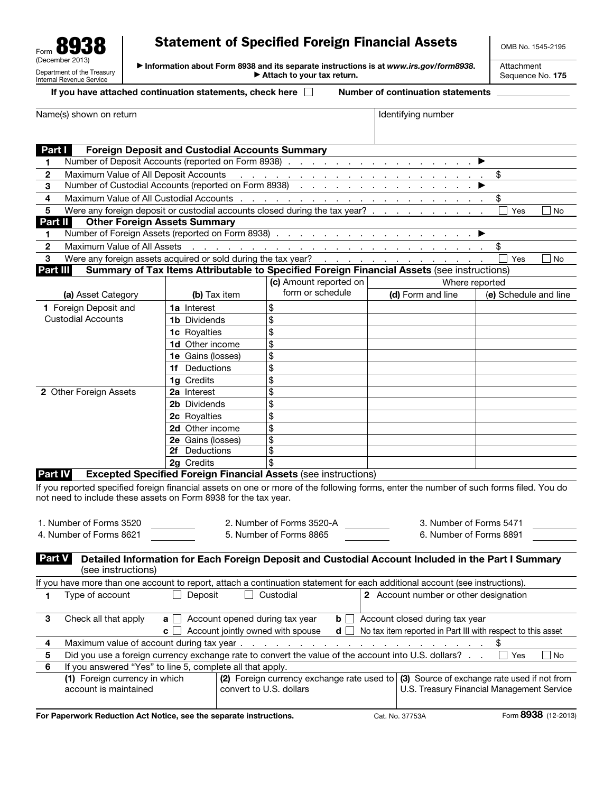| ms<br>О<br>Form                                                           |
|---------------------------------------------------------------------------|
| (December 2013)<br>Department of the Treasury<br>Internal Revenue Service |

## Statement of Specified Foreign Financial Assets

OMB No. 1545-2195

▶ Information about Form 8938 and its separate instructions is at *www.irs.gov/form8938*. ▶ Attach to your tax return.

Attachment Sequence No. 175

(3) Source of exchange rate used if not from U.S. Treasury Financial Management Service

|  | <u>II you have attached continuation statements, ci</u> |  |
|--|---------------------------------------------------------|--|
|  |                                                         |  |

(1) Foreign currency in which account is maintained

| If you have attached continuation statements, check here | <b>Number of continuation statements</b> |
|----------------------------------------------------------|------------------------------------------|

| Name(s) shown on return                                                                                                                                                                                   |                                                       |                                                                       | Identifying number                                                                                                                                                                                                             |                       |
|-----------------------------------------------------------------------------------------------------------------------------------------------------------------------------------------------------------|-------------------------------------------------------|-----------------------------------------------------------------------|--------------------------------------------------------------------------------------------------------------------------------------------------------------------------------------------------------------------------------|-----------------------|
|                                                                                                                                                                                                           |                                                       |                                                                       |                                                                                                                                                                                                                                |                       |
| Part I                                                                                                                                                                                                    | <b>Foreign Deposit and Custodial Accounts Summary</b> |                                                                       |                                                                                                                                                                                                                                |                       |
| 1                                                                                                                                                                                                         |                                                       |                                                                       | Number of Deposit Accounts (reported on Form 8938) <u>.</u>                                                                                                                                                                    |                       |
| Maximum Value of All Deposit Accounts<br>2                                                                                                                                                                |                                                       |                                                                       |                                                                                                                                                                                                                                | \$                    |
| 3                                                                                                                                                                                                         |                                                       |                                                                       | Number of Custodial Accounts (reported on Form 8938)                                                                                                                                                                           |                       |
| Maximum Value of All Custodial Accounts .<br>4                                                                                                                                                            |                                                       |                                                                       | and a construction of the construction of the construction                                                                                                                                                                     | \$                    |
| 5                                                                                                                                                                                                         |                                                       |                                                                       | Were any foreign deposit or custodial accounts closed during the tax year?                                                                                                                                                     | Yes<br>No             |
| Part II<br><b>Other Foreign Assets Summary</b>                                                                                                                                                            |                                                       |                                                                       |                                                                                                                                                                                                                                |                       |
| 1                                                                                                                                                                                                         |                                                       |                                                                       |                                                                                                                                                                                                                                |                       |
| Maximum Value of All Assets<br>2                                                                                                                                                                          |                                                       |                                                                       | and the contract of the contract of the contract of the contract of the contract of the contract of the contract of the contract of the contract of the contract of the contract of the contract of the contract of the contra | \$                    |
| 3                                                                                                                                                                                                         |                                                       |                                                                       | Were any foreign assets acquired or sold during the tax year?                                                                                                                                                                  | Yes<br><b>No</b>      |
| Part III                                                                                                                                                                                                  |                                                       |                                                                       | Summary of Tax Items Attributable to Specified Foreign Financial Assets (see instructions)                                                                                                                                     |                       |
|                                                                                                                                                                                                           |                                                       | (c) Amount reported on                                                |                                                                                                                                                                                                                                | Where reported        |
| (a) Asset Category                                                                                                                                                                                        | (b) Tax item                                          | form or schedule                                                      | (d) Form and line                                                                                                                                                                                                              | (e) Schedule and line |
| 1 Foreign Deposit and                                                                                                                                                                                     | <b>1a</b> Interest                                    | \$                                                                    |                                                                                                                                                                                                                                |                       |
| <b>Custodial Accounts</b>                                                                                                                                                                                 | <b>1b</b> Dividends                                   | \$                                                                    |                                                                                                                                                                                                                                |                       |
|                                                                                                                                                                                                           | 1c Royalties                                          | \$                                                                    |                                                                                                                                                                                                                                |                       |
|                                                                                                                                                                                                           | <b>1d</b> Other income                                | \$                                                                    |                                                                                                                                                                                                                                |                       |
|                                                                                                                                                                                                           | 1e Gains (losses)                                     | \$                                                                    |                                                                                                                                                                                                                                |                       |
|                                                                                                                                                                                                           | 1f Deductions                                         | \$                                                                    |                                                                                                                                                                                                                                |                       |
|                                                                                                                                                                                                           | 1g Credits                                            | \$                                                                    |                                                                                                                                                                                                                                |                       |
| 2 Other Foreign Assets                                                                                                                                                                                    | 2a Interest                                           | \$                                                                    |                                                                                                                                                                                                                                |                       |
|                                                                                                                                                                                                           | 2b Dividends                                          | \$                                                                    |                                                                                                                                                                                                                                |                       |
|                                                                                                                                                                                                           | 2c Royalties                                          | \$                                                                    |                                                                                                                                                                                                                                |                       |
|                                                                                                                                                                                                           | 2d Other income                                       | \$                                                                    |                                                                                                                                                                                                                                |                       |
|                                                                                                                                                                                                           | 2e Gains (losses)                                     | \$                                                                    |                                                                                                                                                                                                                                |                       |
|                                                                                                                                                                                                           | 2f Deductions                                         | $\overline{\$}$                                                       |                                                                                                                                                                                                                                |                       |
|                                                                                                                                                                                                           | 2g Credits                                            | \$                                                                    |                                                                                                                                                                                                                                |                       |
| Part IV                                                                                                                                                                                                   |                                                       | <b>Excepted Specified Foreign Financial Assets (see instructions)</b> |                                                                                                                                                                                                                                |                       |
| If you reported specified foreign financial assets on one or more of the following forms, enter the number of such forms filed. You do<br>not need to include these assets on Form 8938 for the tax year. |                                                       |                                                                       |                                                                                                                                                                                                                                |                       |
| 1. Number of Forms 3520                                                                                                                                                                                   |                                                       | 2. Number of Forms 3520-A                                             | 3. Number of Forms 5471                                                                                                                                                                                                        |                       |
| 4. Number of Forms 8621                                                                                                                                                                                   |                                                       | 5. Number of Forms 8865                                               | 6. Number of Forms 8891                                                                                                                                                                                                        |                       |
|                                                                                                                                                                                                           |                                                       |                                                                       |                                                                                                                                                                                                                                |                       |
| Part V<br>(see instructions)                                                                                                                                                                              |                                                       |                                                                       | Detailed Information for Each Foreign Deposit and Custodial Account Included in the Part I Summary                                                                                                                             |                       |
| If you have more than one account to report, attach a continuation statement for each additional account (see instructions).                                                                              |                                                       |                                                                       |                                                                                                                                                                                                                                |                       |
| Type of account<br>1                                                                                                                                                                                      | Deposit                                               | Custodial                                                             | 2 Account number or other designation                                                                                                                                                                                          |                       |
| Check all that apply<br>3                                                                                                                                                                                 | Account opened during tax year<br>a l                 | bll                                                                   | Account closed during tax year                                                                                                                                                                                                 |                       |
|                                                                                                                                                                                                           | Account jointly owned with spouse<br>C                | d                                                                     | No tax item reported in Part III with respect to this asset                                                                                                                                                                    |                       |
| Maximum value of account during tax year.<br>4                                                                                                                                                            |                                                       | $\sim$<br>$\bullet$                                                   |                                                                                                                                                                                                                                | \$                    |
| 5                                                                                                                                                                                                         |                                                       |                                                                       | Did you use a foreign currency exchange rate to convert the value of the account into U.S. dollars?                                                                                                                            | $\Box$ No<br>Yes      |
| 6<br>If you answered "Yes" to line 5, complete all that apply.                                                                                                                                            |                                                       |                                                                       |                                                                                                                                                                                                                                |                       |

(2) Foreign currency exchange rate used to

For Paperwork Reduction Act Notice, see the separate instructions. Cat. No. 37753A Form 8938 (12-2013)

convert to U.S. dollars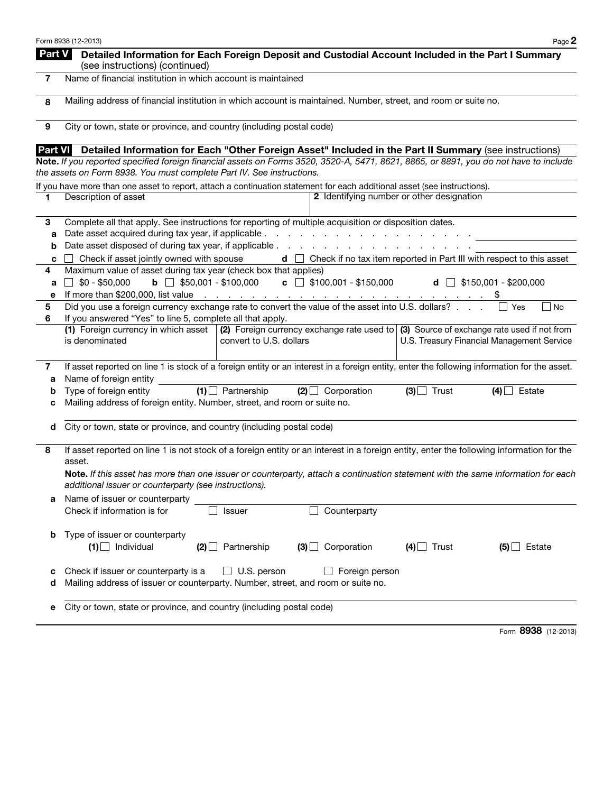|        | Form 8938 (12-2013)<br>Page 2                                                                                                                                                                                                                        |  |  |  |  |
|--------|------------------------------------------------------------------------------------------------------------------------------------------------------------------------------------------------------------------------------------------------------|--|--|--|--|
| Part V | Detailed Information for Each Foreign Deposit and Custodial Account Included in the Part I Summary<br>(see instructions) (continued)                                                                                                                 |  |  |  |  |
| 7      | Name of financial institution in which account is maintained                                                                                                                                                                                         |  |  |  |  |
| 8      | Mailing address of financial institution in which account is maintained. Number, street, and room or suite no.                                                                                                                                       |  |  |  |  |
| 9      | City or town, state or province, and country (including postal code)                                                                                                                                                                                 |  |  |  |  |
|        | Part VI Detailed Information for Each "Other Foreign Asset" Included in the Part II Summary (see instructions)                                                                                                                                       |  |  |  |  |
|        | Note. If you reported specified foreign financial assets on Forms 3520, 3520-A, 5471, 8621, 8865, or 8891, you do not have to include<br>the assets on Form 8938. You must complete Part IV. See instructions.                                       |  |  |  |  |
|        | If you have more than one asset to report, attach a continuation statement for each additional asset (see instructions).                                                                                                                             |  |  |  |  |
| 1      | 2 Identifying number or other designation<br>Description of asset                                                                                                                                                                                    |  |  |  |  |
| 3      | Complete all that apply. See instructions for reporting of multiple acquisition or disposition dates.                                                                                                                                                |  |  |  |  |
| а      | Date asset acquired during tax year, if applicable.<br>and the contract of the contract of the con-                                                                                                                                                  |  |  |  |  |
| b      | Date asset disposed of during tax year, if applicable                                                                                                                                                                                                |  |  |  |  |
| c      | $\mathbf d$ $\Box$ Check if no tax item reported in Part III with respect to this asset<br>Check if asset jointly owned with spouse                                                                                                                  |  |  |  |  |
| 4      | Maximum value of asset during tax year (check box that applies)                                                                                                                                                                                      |  |  |  |  |
| а      | <b>b</b> $\Box$ \$50,001 - \$100,000<br>$\mathbf{c}$ $\Box$ \$100,001 - \$150,000<br>$$0 - $50,000$<br>d $\Box$ \$150,001 - \$200,000                                                                                                                |  |  |  |  |
| е<br>5 | If more than \$200,000, list value $\ldots$ $\ldots$ $\ldots$ $\ldots$ $\ldots$ $\ldots$ $\ldots$ $\ldots$ $\ddot{\ddot{\xi}}$<br>Did you use a foreign currency exchange rate to convert the value of the asset into U.S. dollars?<br>$ $ No<br>Yes |  |  |  |  |
| 6      | If you answered "Yes" to line 5, complete all that apply.                                                                                                                                                                                            |  |  |  |  |
|        | (2) Foreign currency exchange rate used to $\mid$ (3) Source of exchange rate used if not from<br>(1) Foreign currency in which asset                                                                                                                |  |  |  |  |
|        | is denominated<br>U.S. Treasury Financial Management Service<br>convert to U.S. dollars                                                                                                                                                              |  |  |  |  |
| 7<br>а | If asset reported on line 1 is stock of a foreign entity or an interest in a foreign entity, enter the following information for the asset.<br>Name of foreign entity                                                                                |  |  |  |  |
| b      | $(1)$ Partnership<br>$(3)$ Trust<br>Type of foreign entity<br>$(2)$ Corporation<br>$(4)$ Estate                                                                                                                                                      |  |  |  |  |
| с      | Mailing address of foreign entity. Number, street, and room or suite no.                                                                                                                                                                             |  |  |  |  |
| d      | City or town, state or province, and country (including postal code)                                                                                                                                                                                 |  |  |  |  |
| 8      | If asset reported on line 1 is not stock of a foreign entity or an interest in a foreign entity, enter the following information for the<br>asset.                                                                                                   |  |  |  |  |
|        | Note. If this asset has more than one issuer or counterparty, attach a continuation statement with the same information for each<br>additional issuer or counterparty (see instructions).                                                            |  |  |  |  |
| а      | Name of issuer or counterparty                                                                                                                                                                                                                       |  |  |  |  |
|        | Check if information is for<br>Counterparty<br><b>Issuer</b>                                                                                                                                                                                         |  |  |  |  |
| b      | Type of issuer or counterparty<br>$(1)$ Individual<br>$(3)$ Corporation<br>$(4)$ Trust<br>$(2)$ Partnership<br>$(5)$ Estate                                                                                                                          |  |  |  |  |
| с<br>d | $\Box$ U.S. person<br>Check if issuer or counterparty is a<br>Foreign person<br>Mailing address of issuer or counterparty. Number, street, and room or suite no.                                                                                     |  |  |  |  |
| е      | City or town, state or province, and country (including postal code)                                                                                                                                                                                 |  |  |  |  |
|        |                                                                                                                                                                                                                                                      |  |  |  |  |

Form 8938 (12-2013)